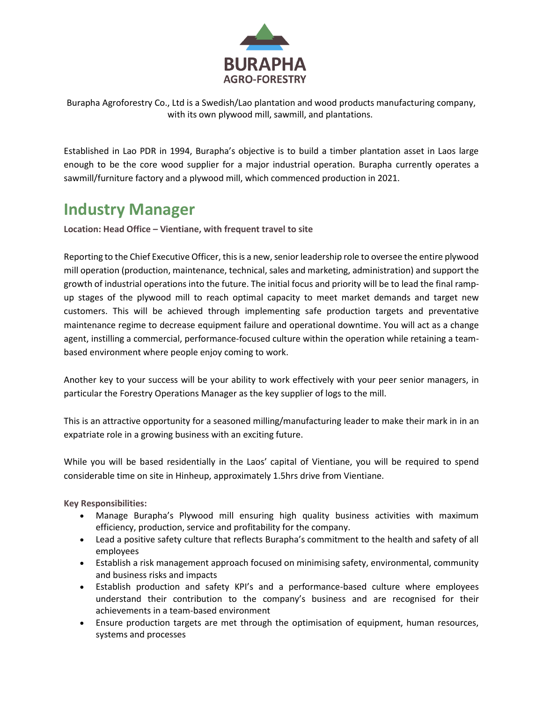

Burapha Agroforestry Co., Ltd is a Swedish/Lao plantation and wood products manufacturing company, with its own plywood mill, sawmill, and plantations.

Established in Lao PDR in 1994, Burapha's objective is to build a timber plantation asset in Laos large enough to be the core wood supplier for a major industrial operation. Burapha currently operates a sawmill/furniture factory and a plywood mill, which commenced production in 2021.

## **Industry Manager**

**Location: Head Office – Vientiane, with frequent travel to site**

Reporting to the Chief Executive Officer, this is a new, senior leadership role to oversee the entire plywood mill operation (production, maintenance, technical, sales and marketing, administration) and support the growth of industrial operations into the future. The initial focus and priority will be to lead the final rampup stages of the plywood mill to reach optimal capacity to meet market demands and target new customers. This will be achieved through implementing safe production targets and preventative maintenance regime to decrease equipment failure and operational downtime. You will act as a change agent, instilling a commercial, performance-focused culture within the operation while retaining a teambased environment where people enjoy coming to work.

Another key to your success will be your ability to work effectively with your peer senior managers, in particular the Forestry Operations Manager as the key supplier of logs to the mill.

This is an attractive opportunity for a seasoned milling/manufacturing leader to make their mark in in an expatriate role in a growing business with an exciting future.

While you will be based residentially in the Laos' capital of Vientiane, you will be required to spend considerable time on site in Hinheup, approximately 1.5hrs drive from Vientiane.

**Key Responsibilities:**

- Manage Burapha's Plywood mill ensuring high quality business activities with maximum efficiency, production, service and profitability for the company.
- Lead a positive safety culture that reflects Burapha's commitment to the health and safety of all employees
- Establish a risk management approach focused on minimising safety, environmental, community and business risks and impacts
- Establish production and safety KPI's and a performance-based culture where employees understand their contribution to the company's business and are recognised for their achievements in a team-based environment
- Ensure production targets are met through the optimisation of equipment, human resources, systems and processes